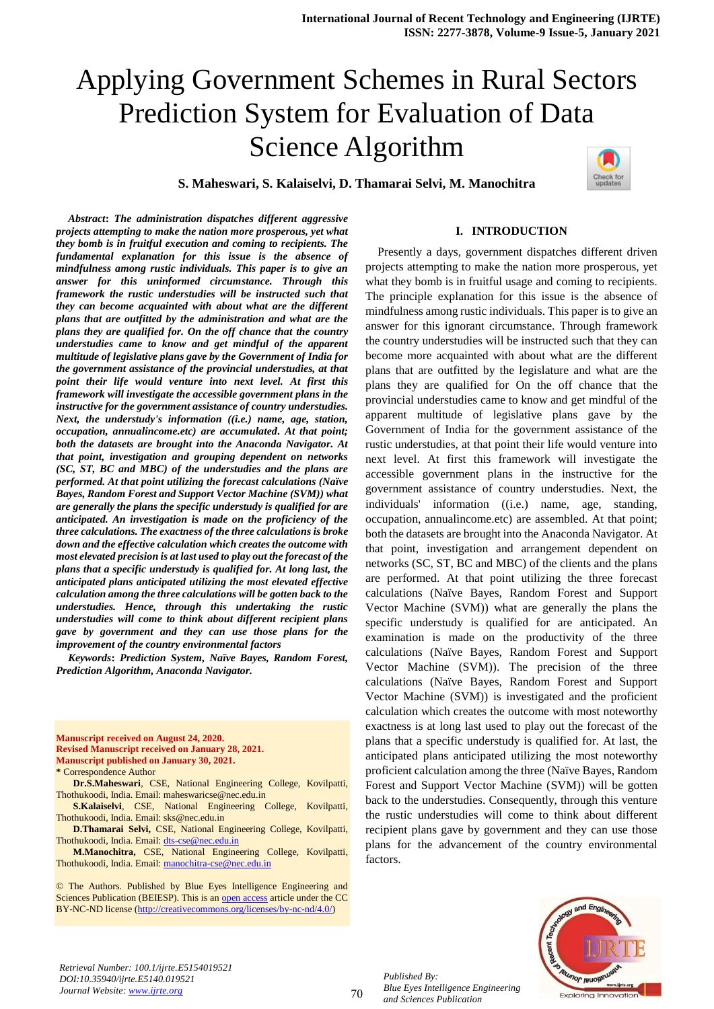**S. Maheswari, S. Kalaiselvi, D. Thamarai Selvi, M. Manochitra**



*Abstract***:** *The administration dispatches different aggressive projects attempting to make the nation more prosperous, yet what they bomb is in fruitful execution and coming to recipients. The fundamental explanation for this issue is the absence of mindfulness among rustic individuals. This paper is to give an answer for this uninformed circumstance. Through this framework the rustic understudies will be instructed such that they can become acquainted with about what are the different plans that are outfitted by the administration and what are the plans they are qualified for. On the off chance that the country understudies came to know and get mindful of the apparent multitude of legislative plans gave by the Government of India for the government assistance of the provincial understudies, at that point their life would venture into next level. At first this framework will investigate the accessible government plans in the instructive for the government assistance of country understudies. Next, the understudy's information ((i.e.) name, age, station, occupation, annualincome.etc) are accumulated. At that point; both the datasets are brought into the Anaconda Navigator. At that point, investigation and grouping dependent on networks (SC, ST, BC and MBC) of the understudies and the plans are performed. At that point utilizing the forecast calculations (Naïve Bayes, Random Forest and Support Vector Machine (SVM)) what are generally the plans the specific understudy is qualified for are anticipated. An investigation is made on the proficiency of the three calculations. The exactness of the three calculations is broke down and the effective calculation which creates the outcome with most elevated precision is at last used to play out the forecast of the plans that a specific understudy is qualified for. At long last, the anticipated plans anticipated utilizing the most elevated effective calculation among the three calculations will be gotten back to the understudies. Hence, through this undertaking the rustic understudies will come to think about different recipient plans gave by government and they can use those plans for the improvement of the country environmental factors*

*Keywords***:** *Prediction System, Naïve Bayes, Random Forest, Prediction Algorithm, Anaconda Navigator.*

**Manuscript received on August 24, 2020. Revised Manuscript received on January 28, 2021. Manuscript published on January 30, 2021. \*** Correspondence Author

- **Dr.S.Maheswari**, CSE, National Engineering College, Kovilpatti, Thothukoodi, India. Email: maheswaricse@nec.edu.in
- **S.Kalaiselvi**, CSE, National Engineering College, Kovilpatti, Thothukoodi, India. Email: sks@nec.edu.in
- **D.Thamarai Selvi,** CSE, National Engineering College, Kovilpatti, Thothukoodi, India. Email[: dts-cse@nec.edu.in](mailto:dts-cse@nec.edu.in)

**M.Manochitra,** CSE, National Engineering College, Kovilpatti, Thothukoodi, India. Email[: manochitra-cse@nec.edu.in](mailto:manochitra-cse@nec.edu.in)

© The Authors. Published by Blue Eyes Intelligence Engineering and Sciences Publication (BEIESP). This is an [open access](https://www.openaccess.nl/en/open-publications) article under the CC BY-NC-ND license [\(http://creativecommons.org/licenses/by-nc-nd/4.0/\)](http://creativecommons.org/licenses/by-nc-nd/4.0/)

#### **I. INTRODUCTION**

Presently a days, government dispatches different driven projects attempting to make the nation more prosperous, yet what they bomb is in fruitful usage and coming to recipients. The principle explanation for this issue is the absence of mindfulness among rustic individuals. This paper is to give an answer for this ignorant circumstance. Through framework the country understudies will be instructed such that they can become more acquainted with about what are the different plans that are outfitted by the legislature and what are the plans they are qualified for On the off chance that the provincial understudies came to know and get mindful of the apparent multitude of legislative plans gave by the Government of India for the government assistance of the rustic understudies, at that point their life would venture into next level. At first this framework will investigate the accessible government plans in the instructive for the government assistance of country understudies. Next, the individuals' information ((i.e.) name, age, standing, occupation, annualincome.etc) are assembled. At that point; both the datasets are brought into the Anaconda Navigator. At that point, investigation and arrangement dependent on networks (SC, ST, BC and MBC) of the clients and the plans are performed. At that point utilizing the three forecast calculations (Naïve Bayes, Random Forest and Support Vector Machine (SVM)) what are generally the plans the specific understudy is qualified for are anticipated. An examination is made on the productivity of the three calculations (Naïve Bayes, Random Forest and Support Vector Machine (SVM)). The precision of the three calculations (Naïve Bayes, Random Forest and Support Vector Machine (SVM)) is investigated and the proficient calculation which creates the outcome with most noteworthy exactness is at long last used to play out the forecast of the plans that a specific understudy is qualified for. At last, the anticipated plans anticipated utilizing the most noteworthy proficient calculation among the three (Naïve Bayes, Random Forest and Support Vector Machine (SVM)) will be gotten back to the understudies. Consequently, through this venture the rustic understudies will come to think about different recipient plans gave by government and they can use those plans for the advancement of the country environmental factors.



*Published By:*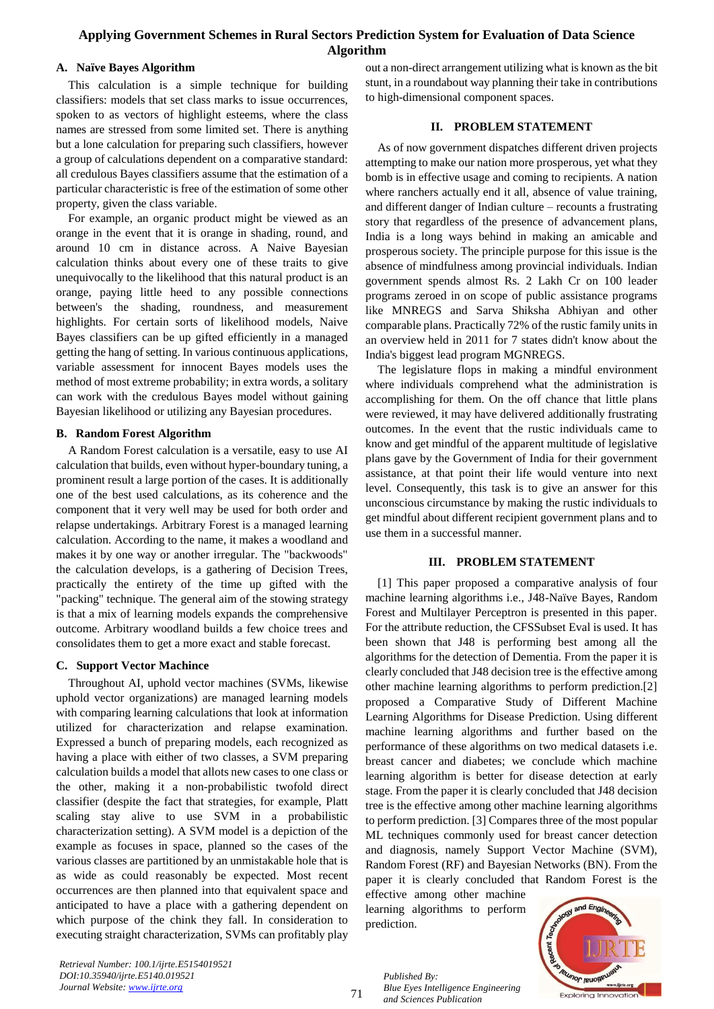## **A. Naïve Bayes Algorithm**

This calculation is a simple technique for building classifiers: models that set class marks to issue occurrences, spoken to as vectors of highlight esteems, where the class names are stressed from some limited set. There is anything but a lone calculation for preparing such classifiers, however a group of calculations dependent on a comparative standard: all credulous Bayes classifiers assume that the estimation of a particular characteristic is free of the estimation of some other property, given the class variable.

For example, an organic product might be viewed as an orange in the event that it is orange in shading, round, and around 10 cm in distance across. A Naive Bayesian calculation thinks about every one of these traits to give unequivocally to the likelihood that this natural product is an orange, paying little heed to any possible connections between's the shading, roundness, and measurement highlights. For certain sorts of likelihood models, Naive Bayes classifiers can be up gifted efficiently in a managed getting the hang of setting. In various continuous applications, variable assessment for innocent Bayes models uses the method of most extreme probability; in extra words, a solitary can work with the credulous Bayes model without gaining Bayesian likelihood or utilizing any Bayesian procedures.

# **B. Random Forest Algorithm**

A Random Forest calculation is a versatile, easy to use AI calculation that builds, even without hyper-boundary tuning, a prominent result a large portion of the cases. It is additionally one of the best used calculations, as its coherence and the component that it very well may be used for both order and relapse undertakings. Arbitrary Forest is a managed learning calculation. According to the name, it makes a woodland and makes it by one way or another irregular. The "backwoods" the calculation develops, is a gathering of Decision Trees, practically the entirety of the time up gifted with the "packing" technique. The general aim of the stowing strategy is that a mix of learning models expands the comprehensive outcome. Arbitrary woodland builds a few choice trees and consolidates them to get a more exact and stable forecast.

# **C. Support Vector Machince**

Throughout AI, uphold vector machines (SVMs, likewise uphold vector organizations) are managed learning models with comparing learning calculations that look at information utilized for characterization and relapse examination. Expressed a bunch of preparing models, each recognized as having a place with either of two classes, a SVM preparing calculation builds a model that allots new cases to one class or the other, making it a non-probabilistic twofold direct classifier (despite the fact that strategies, for example, Platt scaling stay alive to use SVM in a probabilistic characterization setting). A SVM model is a depiction of the example as focuses in space, planned so the cases of the various classes are partitioned by an unmistakable hole that is as wide as could reasonably be expected. Most recent occurrences are then planned into that equivalent space and anticipated to have a place with a gathering dependent on which purpose of the chink they fall. In consideration to executing straight characterization, SVMs can profitably play out a non-direct arrangement utilizing what is known as the bit stunt, in a roundabout way planning their take in contributions to high-dimensional component spaces.

# **II. PROBLEM STATEMENT**

As of now government dispatches different driven projects attempting to make our nation more prosperous, yet what they bomb is in effective usage and coming to recipients. A nation where ranchers actually end it all, absence of value training, and different danger of Indian culture – recounts a frustrating story that regardless of the presence of advancement plans, India is a long ways behind in making an amicable and prosperous society. The principle purpose for this issue is the absence of mindfulness among provincial individuals. Indian government spends almost Rs. 2 Lakh Cr on 100 leader programs zeroed in on scope of public assistance programs like MNREGS and Sarva Shiksha Abhiyan and other comparable plans. Practically 72% of the rustic family units in an overview held in 2011 for 7 states didn't know about the India's biggest lead program MGNREGS.

The legislature flops in making a mindful environment where individuals comprehend what the administration is accomplishing for them. On the off chance that little plans were reviewed, it may have delivered additionally frustrating outcomes. In the event that the rustic individuals came to know and get mindful of the apparent multitude of legislative plans gave by the Government of India for their government assistance, at that point their life would venture into next level. Consequently, this task is to give an answer for this unconscious circumstance by making the rustic individuals to get mindful about different recipient government plans and to use them in a successful manner.

# **III. PROBLEM STATEMENT**

[1] This paper proposed a comparative analysis of four machine learning algorithms i.e., J48-Naïve Bayes, Random Forest and Multilayer Perceptron is presented in this paper. For the attribute reduction, the CFSSubset Eval is used. It has been shown that J48 is performing best among all the algorithms for the detection of Dementia. From the paper it is clearly concluded that J48 decision tree is the effective among other machine learning algorithms to perform prediction.[2] proposed a Comparative Study of Different Machine Learning Algorithms for Disease Prediction. Using different machine learning algorithms and further based on the performance of these algorithms on two medical datasets i.e. breast cancer and diabetes; we conclude which machine learning algorithm is better for disease detection at early stage. From the paper it is clearly concluded that J48 decision tree is the effective among other machine learning algorithms to perform prediction. [3] Compares three of the most popular ML techniques commonly used for breast cancer detection and diagnosis, namely Support Vector Machine (SVM), Random Forest (RF) and Bayesian Networks (BN). From the paper it is clearly concluded that Random Forest is the

effective among other machine learning algorithms to perform prediction.

> *Blue Eyes Intelligence Engineering and Sciences Publication*

*Published By:*



*Retrieval Number: 100.1/ijrte.E5154019521 DOI:10.35940/ijrte.E5140.019521 Journal Website: www.ijrte.org*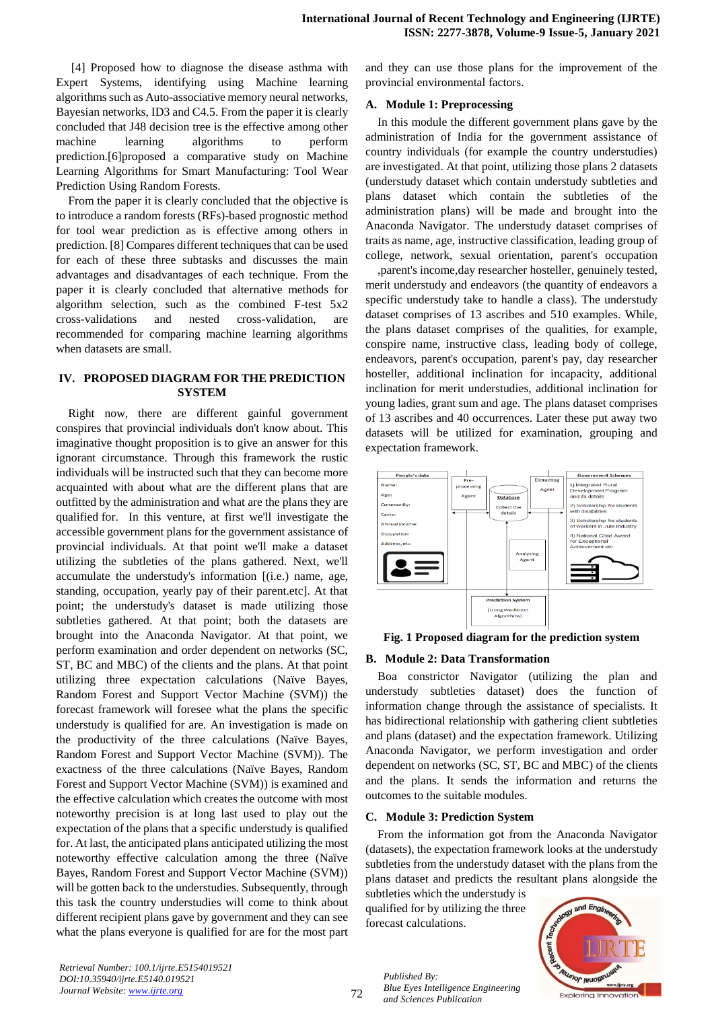[4] Proposed how to diagnose the disease asthma with Expert Systems, identifying using Machine learning algorithms such as Auto-associative memory neural networks, Bayesian networks, ID3 and C4.5. From the paper it is clearly concluded that J48 decision tree is the effective among other machine learning algorithms to perform prediction.[6]proposed a comparative study on Machine Learning Algorithms for Smart Manufacturing: Tool Wear Prediction Using Random Forests.

From the paper it is clearly concluded that the objective is to introduce a random forests (RFs)-based prognostic method for tool wear prediction as is effective among others in prediction. [8] Compares different techniques that can be used for each of these three subtasks and discusses the main advantages and disadvantages of each technique. From the paper it is clearly concluded that alternative methods for algorithm selection, such as the combined F-test 5x2 cross-validations and nested cross-validation, are recommended for comparing machine learning algorithms when datasets are small.

### **IV. PROPOSED DIAGRAM FOR THE PREDICTION SYSTEM**

Right now, there are different gainful government conspires that provincial individuals don't know about. This imaginative thought proposition is to give an answer for this ignorant circumstance. Through this framework the rustic individuals will be instructed such that they can become more acquainted with about what are the different plans that are outfitted by the administration and what are the plans they are qualified for. In this venture, at first we'll investigate the accessible government plans for the government assistance of provincial individuals. At that point we'll make a dataset utilizing the subtleties of the plans gathered. Next, we'll accumulate the understudy's information [(i.e.) name, age, standing, occupation, yearly pay of their parent.etc]. At that point; the understudy's dataset is made utilizing those subtleties gathered. At that point; both the datasets are brought into the Anaconda Navigator. At that point, we perform examination and order dependent on networks (SC, ST, BC and MBC) of the clients and the plans. At that point utilizing three expectation calculations (Naïve Bayes, Random Forest and Support Vector Machine (SVM)) the forecast framework will foresee what the plans the specific understudy is qualified for are. An investigation is made on the productivity of the three calculations (Naïve Bayes, Random Forest and Support Vector Machine (SVM)). The exactness of the three calculations (Naïve Bayes, Random Forest and Support Vector Machine (SVM)) is examined and the effective calculation which creates the outcome with most noteworthy precision is at long last used to play out the expectation of the plans that a specific understudy is qualified for. At last, the anticipated plans anticipated utilizing the most noteworthy effective calculation among the three (Naïve Bayes, Random Forest and Support Vector Machine (SVM)) will be gotten back to the understudies. Subsequently, through this task the country understudies will come to think about different recipient plans gave by government and they can see what the plans everyone is qualified for are for the most part and they can use those plans for the improvement of the provincial environmental factors.

## **A. Module 1: Preprocessing**

In this module the different government plans gave by the administration of India for the government assistance of country individuals (for example the country understudies) are investigated. At that point, utilizing those plans 2 datasets (understudy dataset which contain understudy subtleties and plans dataset which contain the subtleties of the administration plans) will be made and brought into the Anaconda Navigator. The understudy dataset comprises of traits as name, age, instructive classification, leading group of college, network, sexual orientation, parent's occupation

,parent's income,day researcher hosteller, genuinely tested, merit understudy and endeavors (the quantity of endeavors a specific understudy take to handle a class). The understudy dataset comprises of 13 ascribes and 510 examples. While, the plans dataset comprises of the qualities, for example, conspire name, instructive class, leading body of college, endeavors, parent's occupation, parent's pay, day researcher hosteller, additional inclination for incapacity, additional inclination for merit understudies, additional inclination for young ladies, grant sum and age. The plans dataset comprises of 13 ascribes and 40 occurrences. Later these put away two datasets will be utilized for examination, grouping and expectation framework.



**Fig. 1 Proposed diagram for the prediction system**

## **B. Module 2: Data Transformation**

Boa constrictor Navigator (utilizing the plan and understudy subtleties dataset) does the function of information change through the assistance of specialists. It has bidirectional relationship with gathering client subtleties and plans (dataset) and the expectation framework. Utilizing Anaconda Navigator, we perform investigation and order dependent on networks (SC, ST, BC and MBC) of the clients and the plans. It sends the information and returns the outcomes to the suitable modules.

#### **C. Module 3: Prediction System**

From the information got from the Anaconda Navigator (datasets), the expectation framework looks at the understudy subtleties from the understudy dataset with the plans from the plans dataset and predicts the resultant plans alongside the

subtleties which the understudy is qualified for by utilizing the three forecast calculations.

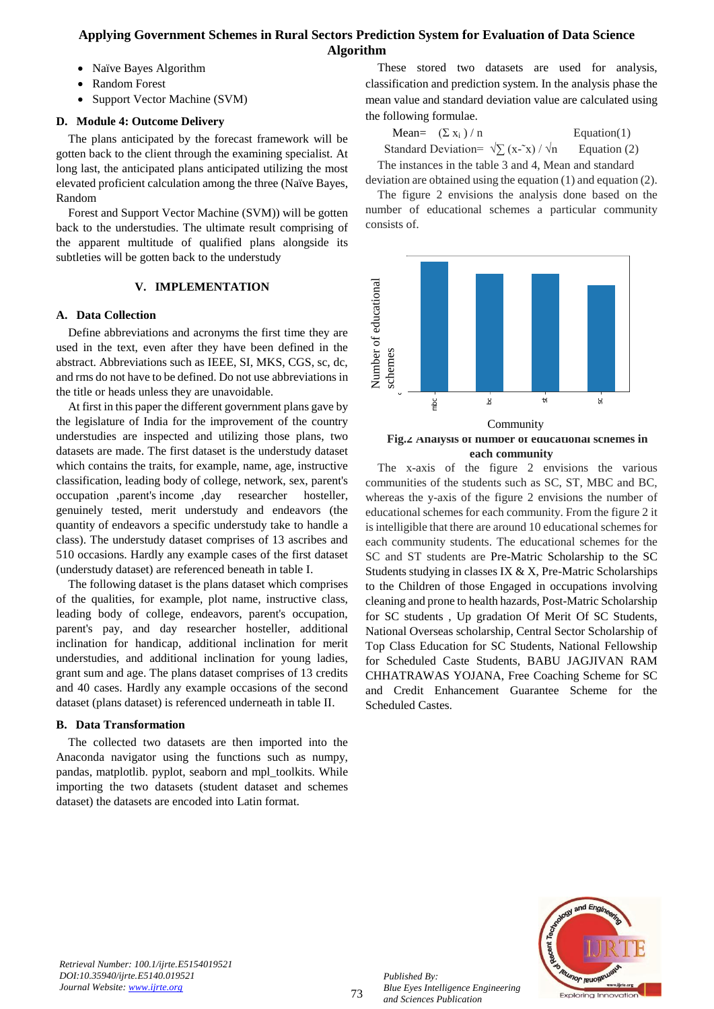- Naïve Bayes Algorithm
- Random Forest
- Support Vector Machine (SVM)

# **D. Module 4: Outcome Delivery**

The plans anticipated by the forecast framework will be gotten back to the client through the examining specialist. At long last, the anticipated plans anticipated utilizing the most elevated proficient calculation among the three (Naïve Bayes, Random

Forest and Support Vector Machine (SVM)) will be gotten back to the understudies. The ultimate result comprising of the apparent multitude of qualified plans alongside its subtleties will be gotten back to the understudy

# **V. IMPLEMENTATION**

# **A. Data Collection**

Define abbreviations and acronyms the first time they are used in the text, even after they have been defined in the abstract. Abbreviations such as IEEE, SI, MKS, CGS, sc, dc, and rms do not have to be defined. Do not use abbreviations in the title or heads unless they are unavoidable.

At first in this paper the different government plans gave by the legislature of India for the improvement of the country understudies are inspected and utilizing those plans, two datasets are made. The first dataset is the understudy dataset which contains the traits, for example, name, age, instructive classification, leading body of college, network, sex, parent's occupation ,parent's income ,day researcher hosteller, genuinely tested, merit understudy and endeavors (the quantity of endeavors a specific understudy take to handle a class). The understudy dataset comprises of 13 ascribes and 510 occasions. Hardly any example cases of the first dataset (understudy dataset) are referenced beneath in table I.

The following dataset is the plans dataset which comprises of the qualities, for example, plot name, instructive class, leading body of college, endeavors, parent's occupation, parent's pay, and day researcher hosteller, additional inclination for handicap, additional inclination for merit understudies, and additional inclination for young ladies, grant sum and age. The plans dataset comprises of 13 credits and 40 cases. Hardly any example occasions of the second dataset (plans dataset) is referenced underneath in table II.

## **B. Data Transformation**

The collected two datasets are then imported into the Anaconda navigator using the functions such as numpy, pandas, matplotlib. pyplot, seaborn and mpl\_toolkits. While importing the two datasets (student dataset and schemes dataset) the datasets are encoded into Latin format.

These stored two datasets are used for analysis, classification and prediction system. In the analysis phase the mean value and standard deviation value are calculated using the following formulae.

| Mean= $(\Sigma x_i) / n$                              | Equation $(1)$ |
|-------------------------------------------------------|----------------|
| Standard Deviation= $\sqrt{\sum (x-x)/\sqrt{n}}$      | Equation $(2)$ |
| The instances in the table 3 and 4, Mean and standard |                |

deviation are obtained using the equation (1) and equation (2).

The figure 2 envisions the analysis done based on the number of educational schemes a particular community consists of.



## **Fig.2 Analysis of number of educational schemes in each community**

The x-axis of the figure 2 envisions the various communities of the students such as SC, ST, MBC and BC, whereas the y-axis of the figure 2 envisions the number of educational schemes for each community. From the figure 2 it is intelligible that there are around 10 educational schemes for each community students. The educational schemes for the SC and ST students are Pre-Matric Scholarship to the SC Students studying in classes IX & X, Pre-Matric Scholarships to the Children of those Engaged in occupations involving cleaning and prone to health hazards, Post-Matric Scholarship for SC students , Up gradation Of Merit Of SC Students, National Overseas scholarship, Central Sector Scholarship of Top Class Education for SC Students, National Fellowship for Scheduled Caste Students, BABU JAGJIVAN RAM CHHATRAWAS YOJANA, Free Coaching Scheme for SC and Credit Enhancement Guarantee Scheme for the Transfer of the state of educational schemes of the whereas the y-axis of communities of the whereas the y-axis educational schemes is intelligible that the each community schemes of examples of examples of the Children of



*Retrieval Number: 100.1/ijrte.E5154019521 DOI:10.35940/ijrte.E5140.019521 Journal Website: www.ijrte.org*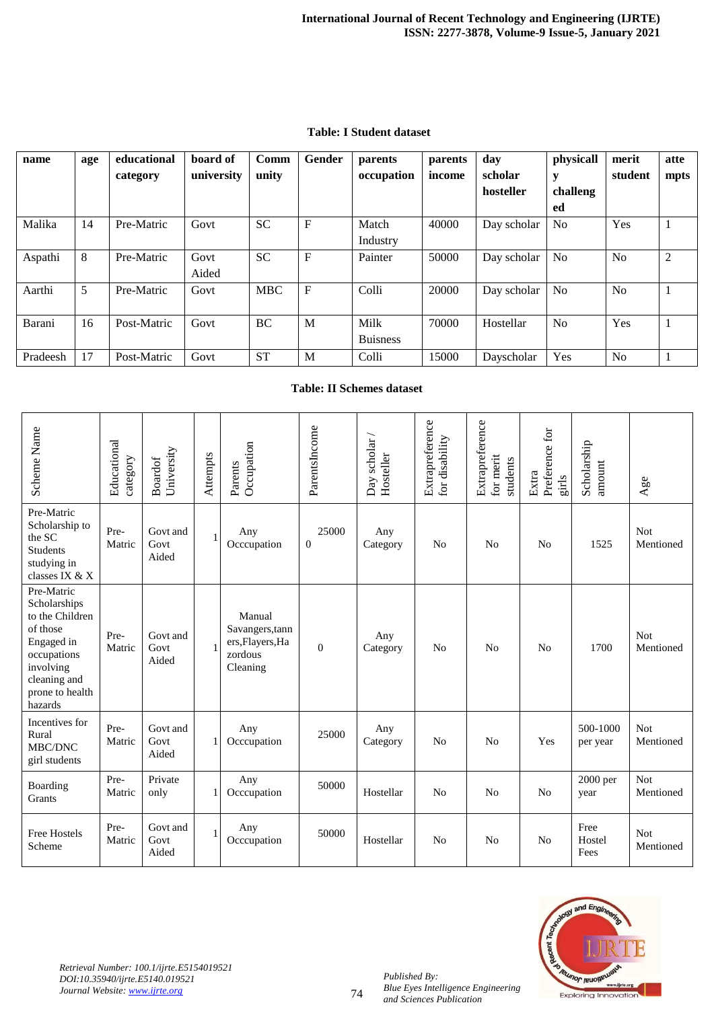| name     | age | educational<br>category | board of<br>university | Comm<br>unity | <b>Gender</b>    | parents<br>occupation   | parents<br>income | day<br>scholar<br>hosteller | physicall<br>y<br>challeng<br>ed | merit<br>student | atte<br>mpts |
|----------|-----|-------------------------|------------------------|---------------|------------------|-------------------------|-------------------|-----------------------------|----------------------------------|------------------|--------------|
| Malika   | 14  | Pre-Matric              | Govt                   | <b>SC</b>     | $\boldsymbol{F}$ | Match<br>Industry       | 40000             | Day scholar                 | N <sub>o</sub>                   | Yes              |              |
| Aspathi  | 8   | Pre-Matric              | Govt<br>Aided          | <b>SC</b>     | F                | Painter                 | 50000             | Day scholar                 | N <sub>o</sub>                   | No               | 2            |
| Aarthi   | 5   | Pre-Matric              | Govt                   | <b>MBC</b>    | F                | Colli                   | 20000             | Day scholar                 | N <sub>o</sub>                   | No               |              |
| Barani   | 16  | Post-Matric             | Govt                   | BC            | M                | Milk<br><b>Buisness</b> | 70000             | Hostellar                   | N <sub>o</sub>                   | Yes              |              |
| Pradeesh | 17  | Post-Matric             | Govt                   | <b>ST</b>     | M                | Colli                   | 15000             | Dayscholar                  | Yes                              | N <sub>0</sub>   |              |

# **Table: II Schemes dataset**

| <b>Scheme Name</b>                                                                                                                                | Educational<br>category | University<br>Boardof     | Attempts     | Occupation<br>Parents                                                | ParentsIncome           | scholar/<br>Hosteller<br>Day | Extrapreference<br>for disability | Extrapreference<br>for merit<br>students | Preference for<br>Extra<br>girls | Scholarship<br>amount  | Age                     |
|---------------------------------------------------------------------------------------------------------------------------------------------------|-------------------------|---------------------------|--------------|----------------------------------------------------------------------|-------------------------|------------------------------|-----------------------------------|------------------------------------------|----------------------------------|------------------------|-------------------------|
| Pre-Matric<br>Scholarship to<br>the SC<br><b>Students</b><br>studying in<br>classes IX & X                                                        | Pre-<br>Matric          | Govt and<br>Govt<br>Aided | $\mathbf{1}$ | Any<br>Occcupation                                                   | 25000<br>$\overline{0}$ | Any<br>Category              | N <sub>o</sub>                    | N <sub>0</sub>                           | N <sub>o</sub>                   | 1525                   | <b>Not</b><br>Mentioned |
| Pre-Matric<br>Scholarships<br>to the Children<br>of those<br>Engaged in<br>occupations<br>involving<br>cleaning and<br>prone to health<br>hazards | Pre-<br>Matric          | Govt and<br>Govt<br>Aided |              | Manual<br>Savangers, tann<br>ers, Flayers, Ha<br>zordous<br>Cleaning | $\theta$                | Any<br>Category              | N <sub>0</sub>                    | N <sub>o</sub>                           | N <sub>o</sub>                   | 1700                   | <b>Not</b><br>Mentioned |
| Incentives for<br>Rural<br>MBC/DNC<br>girl students                                                                                               | Pre-<br>Matric          | Govt and<br>Govt<br>Aided |              | Any<br>Occcupation                                                   | 25000                   | Any<br>Category              | N <sub>o</sub>                    | N <sub>o</sub>                           | Yes                              | 500-1000<br>per year   | <b>Not</b><br>Mentioned |
| Boarding<br>Grants                                                                                                                                | Pre-<br>Matric          | Private<br>only           |              | Any<br>Occcupation                                                   | 50000                   | Hostellar                    | No                                | N <sub>o</sub>                           | No                               | $2000$ per<br>year     | <b>Not</b><br>Mentioned |
| Free Hostels<br>Scheme                                                                                                                            | Pre-<br>Matric          | Govt and<br>Govt<br>Aided | $\mathbf{1}$ | Any<br>Occcupation                                                   | 50000                   | Hostellar                    | N <sub>o</sub>                    | N <sub>o</sub>                           | N <sub>o</sub>                   | Free<br>Hostel<br>Fees | <b>Not</b><br>Mentioned |

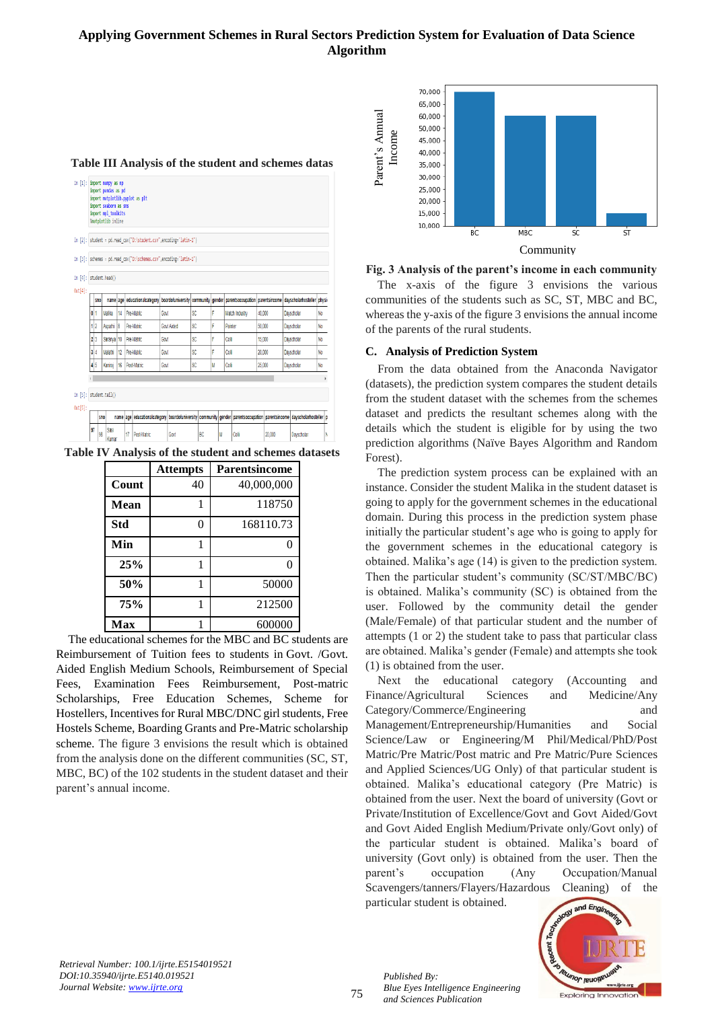| Table III Analysis of the student and schemes datas |  |  |  |  |  |  |
|-----------------------------------------------------|--|--|--|--|--|--|
|-----------------------------------------------------|--|--|--|--|--|--|

| In [1]: import numpy as mp |                |                | import pandas as pd<br>import seaborn as sns<br>import mpl toolkits<br>%matplotlib inline |    |    | import matplotlib.pyplot as plt                                                                                                         |      |                   |     |    |   |         |                |        |        |                                                                                               |                |
|----------------------------|----------------|----------------|-------------------------------------------------------------------------------------------|----|----|-----------------------------------------------------------------------------------------------------------------------------------------|------|-------------------|-----|----|---|---------|----------------|--------|--------|-----------------------------------------------------------------------------------------------|----------------|
|                            |                |                |                                                                                           |    |    | In [2]: student = pd.read csv("D:\student.csv",encoding="latin-1')                                                                      |      |                   |     |    |   |         |                |        |        |                                                                                               |                |
|                            |                |                |                                                                                           |    |    | In [3]: schemes = pd.read csv("D:\schemes.csv",encoding="latin-1')                                                                      |      |                   |     |    |   |         |                |        |        |                                                                                               |                |
| In [4]: student.head()     |                |                |                                                                                           |    |    |                                                                                                                                         |      |                   |     |    |   |         |                |        |        |                                                                                               |                |
| Out[4]:                    |                | <b>Sho</b>     |                                                                                           |    |    | name   age   educationalcategory                                                                                                        |      |                   |     |    |   |         |                |        |        | boardofuniversity community gender parentsoccupation parentsincome dayscholarhosteller physi- |                |
|                            | 0 <sup>1</sup> |                | Malika                                                                                    | 14 |    | Pre-Matric                                                                                                                              | Govt |                   | SC. |    | F |         | Match Industry | 40,000 |        | Dayscholar                                                                                    | No             |
|                            |                | 1 <sup>2</sup> | Aspathi                                                                                   | 18 |    | Pre-Matric                                                                                                                              |      | <b>Govt Aided</b> | SC. |    | F | Painter |                | 50,000 |        | Dayscholar                                                                                    | N <sub>0</sub> |
|                            |                | 23             | Saranya 10                                                                                |    |    | Pre-Matric                                                                                                                              | Govt |                   | SC. |    | F | Colli   |                | 15,000 |        | Dayscholar                                                                                    | N <sub>0</sub> |
|                            |                | 3 <sub>4</sub> | Malathi                                                                                   | 12 |    | Pre-Matric                                                                                                                              | Govt |                   | SC. |    | Ė | Colli   |                | 20,000 |        | Dayscholar                                                                                    | No             |
|                            |                | 45             | Kanirai                                                                                   | 16 |    | <b>Post-Matric</b>                                                                                                                      | Govt |                   | SC. |    | M | Colli   |                | 25,000 |        | Dayscholar                                                                                    | No             |
|                            |                |                |                                                                                           |    |    |                                                                                                                                         |      |                   |     |    |   |         |                |        |        |                                                                                               |                |
| In [5]: student.tail()     |                |                |                                                                                           |    |    |                                                                                                                                         |      |                   |     |    |   |         |                |        |        |                                                                                               |                |
| $Out[5]$ :                 |                |                |                                                                                           |    |    |                                                                                                                                         |      |                   |     |    |   |         |                |        |        |                                                                                               |                |
|                            |                |                | <b>SNO</b>                                                                                |    |    | name   age   educationalcategory   boardofuniversity   community   gender   parentsoccupation   parentsincome   dayscholarhosteller   p |      |                   |     |    |   |         |                |        |        |                                                                                               |                |
|                            | 97             |                | Sasi<br>98<br>Kumar                                                                       |    | 17 | Post-Matric                                                                                                                             |      | Govt              |     | RC |   | M       | Colli          |        | 20,000 | Dayscholar                                                                                    | N              |

**Table IV Analysis of the student and schemes datasets**

|            | <b>Attempts</b> | <b>Parentsincome</b> |
|------------|-----------------|----------------------|
| Count      | 40              | 40,000,000           |
| Mean       |                 | 118750               |
| Std        | 0               | 168110.73            |
| Min        |                 |                      |
| 25%        |                 |                      |
| 50%        |                 | 50000                |
| <b>75%</b> |                 | 212500               |
| Max        |                 | 600000               |

The educational schemes for the MBC and BC students are Reimbursement of Tuition fees to students in Govt. /Govt. Aided English Medium Schools, Reimbursement of Special Fees, Examination Fees Reimbursement, Post-matric Scholarships, Free Education Schemes, Scheme for Hostellers, Incentives for Rural MBC/DNC girl students, Free Hostels Scheme, Boarding Grants and Pre-Matric scholarship scheme. The figure 3 envisions the result which is obtained from the analysis done on the different communities (SC, ST, MBC, BC) of the 102 students in the student dataset and their parent's annual income.





The x-axis of the figure 3 envisions the various communities of the students such as SC, ST, MBC and BC, whereas the y-axis of the figure 3 envisions the annual income of the parents of the rural students.

#### **C. Analysis of Prediction System**

From the data obtained from the Anaconda Navigator (datasets), the prediction system compares the student details from the student dataset with the schemes from the schemes dataset and predicts the resultant schemes along with the details which the student is eligible for by using the two prediction algorithms (Naïve Bayes Algorithm and Random Forest).

The prediction system process can be explained with an instance. Consider the student Malika in the student dataset is going to apply for the government schemes in the educational domain. During this process in the prediction system phase initially the particular student's age who is going to apply for the government schemes in the educational category is obtained. Malika's age (14) is given to the prediction system. Then the particular student's community (SC/ST/MBC/BC) is obtained. Malika's community (SC) is obtained from the user. Followed by the community detail the gender (Male/Female) of that particular student and the number of attempts (1 or 2) the student take to pass that particular class are obtained. Malika's gender (Female) and attempts she took (1) is obtained from the user.

results.<br>
Example 1.0000<br>
1.0000<br>
1.0000<br>
1.0000<br>
1.5.000<br>
1.5.000<br>
1.5.000<br>
1.5.000<br>
1.5.000<br>
1.5.000<br>
1.5.000<br>
1.6.000<br>
1.6.000<br>
1.6.000<br>
1.6.000<br>
1.6.000<br>
1.6.000<br>
1.6.000<br>
1.6.000<br>
1.6.000<br>
1.6.000<br>
1.6.000<br>
1.6.000<br> Next the educational category (Accounting and Finance/Agricultural Sciences and Medicine/Any Category/Commerce/Engineering and Management/Entrepreneurship/Humanities and Social Science/Law or Engineering/M Phil/Medical/PhD/Post Matric/Pre Matric/Post matric and Pre Matric/Pure Sciences and Applied Sciences/UG Only) of that particular student is obtained. Malika's educational category (Pre Matric) is obtained from the user. Next the board of university (Govt or Private/Institution of Excellence/Govt and Govt Aided/Govt and Govt Aided English Medium/Private only/Govt only) of the particular student is obtained. Malika's board of university (Govt only) is obtained from the user. Then the parent's occupation (Any Occupation/Manual Scavengers/tanners/Flayers/Hazardous Cleaning) of the particular student is obtained.



*Retrieval Number: 100.1/ijrte.E5154019521 DOI:10.35940/ijrte.E5140.019521 Journal Website: www.ijrte.org*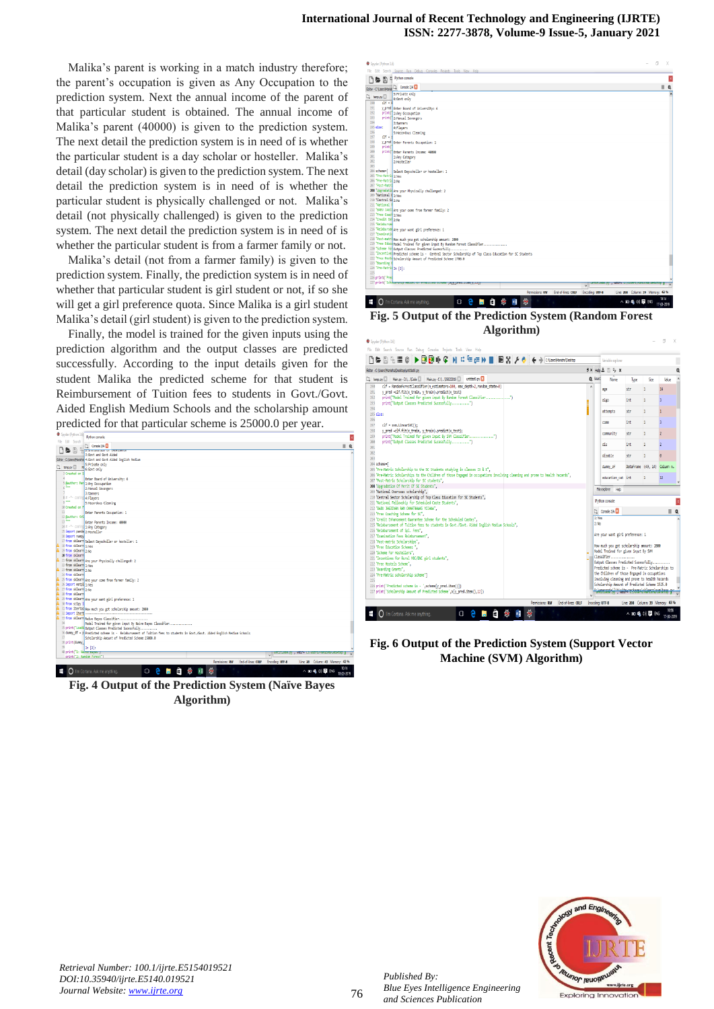Malika's parent is working in a match industry therefore; the parent's occupation is given as Any Occupation to the prediction system. Next the annual income of the parent of that particular student is obtained. The annual income of Malika's parent (40000) is given to the prediction system. The next detail the prediction system is in need of is whether the particular student is a day scholar or hosteller. Malika's detail (day scholar) is given to the prediction system. The next detail the prediction system is in need of is whether the particular student is physically challenged or not. Malika's detail (not physically challenged) is given to the prediction system. The next detail the prediction system is in need of is whether the particular student is from a farmer family or not.

Malika's detail (not from a farmer family) is given to the prediction system. Finally, the prediction system is in need of whether that particular student is girl student or not, if so she will get a girl preference quota. Since Malika is a girl student Malika's detail (girl student) is given to the prediction system.

Finally, the model is trained for the given inputs using the prediction algorithm and the output classes are predicted successfully. According to the input details given for the student Malika the predicted scheme for that student is Reimbursement of Tuition fees to students in Govt./Govt. Aided English Medium Schools and the scholarship amount predicted for that particular scheme is 25000.0 per year.



**Fig. 4 Output of the Prediction System (Naïve Bayes Algorithm)**



**Fig. 5 Output of the Prediction System (Random Forest Algorithm)**



**Fig. 6 Output of the Prediction System (Support Vector Machine (SVM) Algorithm)**

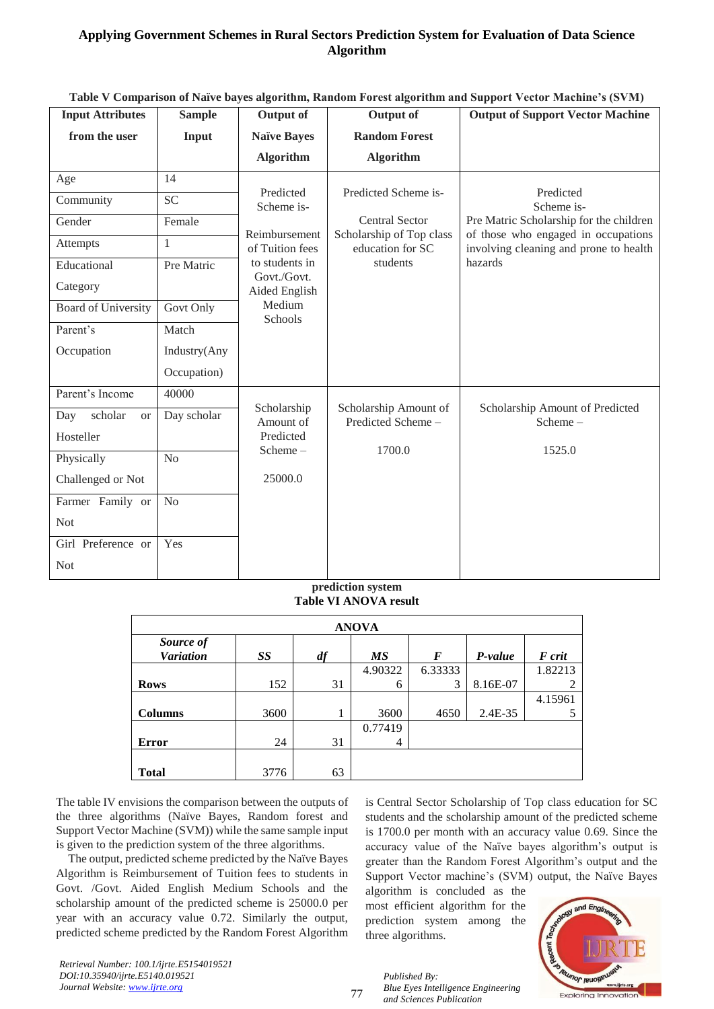| <b>Input Attributes</b>     | <b>Sample</b>  | Output of                     | <b>Output of</b>                                  | <b>Output of Support Vector Machine</b>                                        |
|-----------------------------|----------------|-------------------------------|---------------------------------------------------|--------------------------------------------------------------------------------|
| from the user               | Input          | <b>Naïve Bayes</b>            | <b>Random Forest</b>                              |                                                                                |
|                             |                | <b>Algorithm</b>              | Algorithm                                         |                                                                                |
| Age                         | 14             |                               |                                                   |                                                                                |
| Community                   | <b>SC</b>      | Predicted<br>Scheme is-       | Predicted Scheme is-                              | Predicted<br>Scheme is-                                                        |
| Gender                      | Female         | Reimbursement                 | <b>Central Sector</b><br>Scholarship of Top class | Pre Matric Scholarship for the children<br>of those who engaged in occupations |
| Attempts                    | $\mathbf{1}$   | of Tuition fees               | education for SC                                  | involving cleaning and prone to health                                         |
| Educational                 | Pre Matric     | to students in<br>Govt./Govt. | students                                          | hazards                                                                        |
| Category                    |                | Aided English                 |                                                   |                                                                                |
| <b>Board of University</b>  | Govt Only      | Medium<br>Schools             |                                                   |                                                                                |
| Parent's                    | Match          |                               |                                                   |                                                                                |
| Occupation                  | Industry(Any   |                               |                                                   |                                                                                |
|                             | Occupation)    |                               |                                                   |                                                                                |
| Parent's Income             | 40000          |                               |                                                   |                                                                                |
| scholar<br>Day<br><b>or</b> | Day scholar    | Scholarship<br>Amount of      | Scholarship Amount of<br>Predicted Scheme-        | Scholarship Amount of Predicted<br>Scheme-                                     |
| Hosteller                   |                | Predicted                     |                                                   |                                                                                |
| Physically                  | No             | Scheme-                       | 1700.0                                            | 1525.0                                                                         |
| Challenged or Not           |                | 25000.0                       |                                                   |                                                                                |
| Farmer Family or            | N <sub>o</sub> |                               |                                                   |                                                                                |
| <b>Not</b>                  |                |                               |                                                   |                                                                                |
| Girl Preference or          | Yes            |                               |                                                   |                                                                                |
| <b>Not</b>                  |                |                               |                                                   |                                                                                |

## **Table V Comparison of Naïve bayes algorithm, Random Forest algorithm and Support Vector Machine's (SVM)**

## **prediction system Table VI ANOVA result**

| <b>ANOVA</b>     |           |    |           |         |          |         |  |  |  |  |
|------------------|-----------|----|-----------|---------|----------|---------|--|--|--|--|
| Source of        |           |    |           |         |          |         |  |  |  |  |
| <b>Variation</b> | <b>SS</b> | df | <b>MS</b> | F       | P-value  | F crit  |  |  |  |  |
|                  |           |    | 4.90322   | 6.33333 |          | 1.82213 |  |  |  |  |
| <b>Rows</b>      | 152       | 31 | 6         | 3       | 8.16E-07 |         |  |  |  |  |
|                  |           |    |           |         |          | 4.15961 |  |  |  |  |
| <b>Columns</b>   | 3600      |    | 3600      | 4650    | 2.4E-35  |         |  |  |  |  |
|                  |           |    | 0.77419   |         |          |         |  |  |  |  |
| <b>Error</b>     | 24        | 31 | 4         |         |          |         |  |  |  |  |
|                  |           |    |           |         |          |         |  |  |  |  |
| <b>Total</b>     | 3776      | 63 |           |         |          |         |  |  |  |  |

The table IV envisions the comparison between the outputs of the three algorithms (Naïve Bayes, Random forest and Support Vector Machine (SVM)) while the same sample input is given to the prediction system of the three algorithms.

The output, predicted scheme predicted by the Naïve Bayes Algorithm is Reimbursement of Tuition fees to students in Govt. /Govt. Aided English Medium Schools and the scholarship amount of the predicted scheme is 25000.0 per year with an accuracy value 0.72. Similarly the output, predicted scheme predicted by the Random Forest Algorithm is Central Sector Scholarship of Top class education for SC students and the scholarship amount of the predicted scheme is 1700.0 per month with an accuracy value 0.69. Since the accuracy value of the Naïve bayes algorithm's output is greater than the Random Forest Algorithm's output and the Support Vector machine's (SVM) output, the Naïve Bayes

algorithm is concluded as the most efficient algorithm for the prediction system among the three algorithms.

*Retrieval Number: 100.1/ijrte.E5154019521 DOI:10.35940/ijrte.E5140.019521 Journal Website: www.ijrte.org*

*Published By: Blue Eyes Intelligence Engineering and Sciences Publication* 



77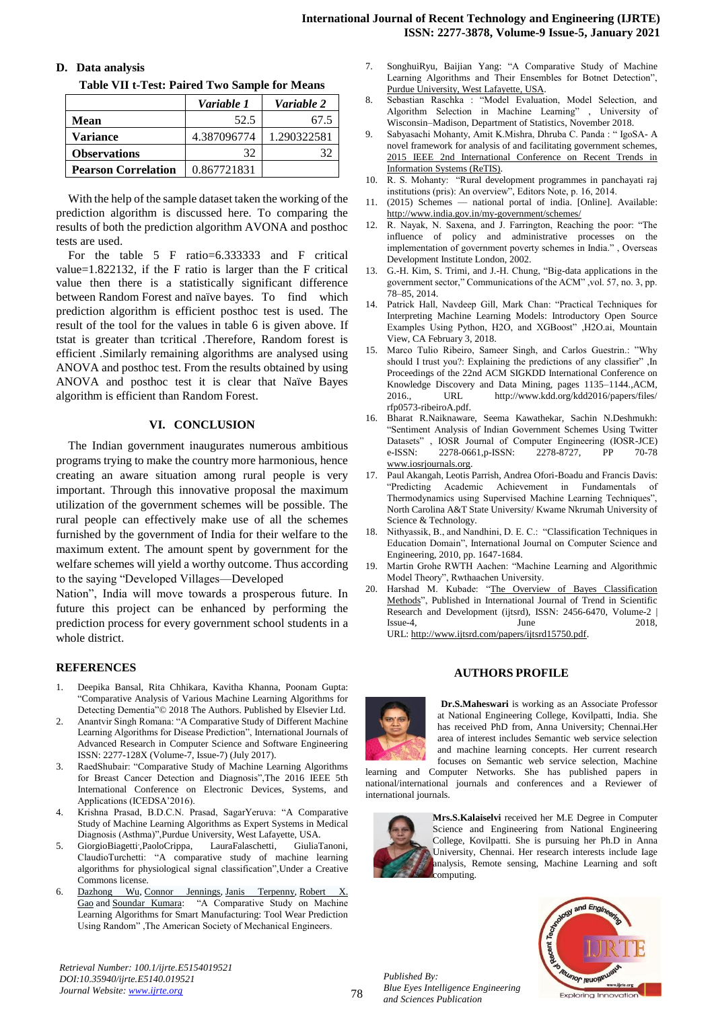## **International Journal of Recent Technology and Engineering (IJRTE) ISSN: 2277-3878, Volume-9 Issue-5, January 2021**

| Table VII t-Test: Faired Two Sample for Means |             |             |  |  |  |  |  |  |
|-----------------------------------------------|-------------|-------------|--|--|--|--|--|--|
|                                               | Variable 1  | Variable 2  |  |  |  |  |  |  |
| Mean                                          | 52.5        | 67.5        |  |  |  |  |  |  |
| <b>Variance</b>                               | 4.387096774 | 1.290322581 |  |  |  |  |  |  |
| <b>Observations</b>                           | 32          | 32          |  |  |  |  |  |  |
| <b>Pearson Correlation</b>                    | 0.867721831 |             |  |  |  |  |  |  |

| D. Data analysis                                     |  |
|------------------------------------------------------|--|
| <b>Table VII t-Test: Paired Two Sample for Means</b> |  |

With the help of the sample dataset taken the working of the prediction algorithm is discussed here. To comparing the results of both the prediction algorithm AVONA and posthoc tests are used.

For the table 5 F ratio=6.333333 and F critical value=1.822132, if the F ratio is larger than the F critical value then there is a statistically significant difference between Random Forest and naïve bayes. To find which prediction algorithm is efficient posthoc test is used. The result of the tool for the values in table 6 is given above. If tstat is greater than tcritical .Therefore, Random forest is efficient .Similarly remaining algorithms are analysed using ANOVA and posthoc test. From the results obtained by using ANOVA and posthoc test it is clear that Naïve Bayes algorithm is efficient than Random Forest.

## **VI. CONCLUSION**

The Indian government inaugurates numerous ambitious programs trying to make the country more harmonious, hence creating an aware situation among rural people is very important. Through this innovative proposal the maximum utilization of the government schemes will be possible. The rural people can effectively make use of all the schemes furnished by the government of India for their welfare to the maximum extent. The amount spent by government for the welfare schemes will yield a worthy outcome. Thus according to the saying "Developed Villages—Developed

Nation", India will move towards a prosperous future. In future this project can be enhanced by performing the prediction process for every government school students in a whole district.

#### **REFERENCES**

- 1. Deepika Bansal, Rita Chhikara, Kavitha Khanna, Poonam Gupta: "Comparative Analysis of Various Machine Learning Algorithms for Detecting Dementia"© 2018 The Authors. Published by Elsevier Ltd.
- 2. Anantvir Singh Romana: "A Comparative Study of Different Machine Learning Algorithms for Disease Prediction", International Journals of Advanced Research in Computer Science and Software Engineering ISSN: 2277-128X (Volume-7, Issue-7) (July 2017).
- 3. RaedShubair: "Comparative Study of Machine Learning Algorithms for Breast Cancer Detection and Diagnosis",The 2016 IEEE 5th International Conference on Electronic Devices, Systems, and Applications (ICEDSA'2016).
- 4. Krishna Prasad, B.D.C.N. Prasad, SagarYeruva: "A Comparative Study of Machine Learning Algorithms as Expert Systems in Medical Diagnosis (Asthma)",Purdue University, West Lafayette, USA.
- 5. GiorgioBiagetti<sup>,</sup>PaoloCrippa, LauraFalaschetti, GiuliaTanoni, ClaudioTurchetti: "A comparative study of machine learning algorithms for physiological signal classification",Under a Creative Commons license.
- 6. [Dazhong](http://manufacturingscience.asmedigitalcollection.asme.org/solr/searchresults.aspx?author=Dazhong+Wu&q=Dazhong+Wu) Wu, Connor [Jennings,](http://manufacturingscience.asmedigitalcollection.asme.org/solr/searchresults.aspx?author=Connor+Jennings&q=Connor+Jennings) Janis [Terpenny,](http://manufacturingscience.asmedigitalcollection.asme.org/solr/searchresults.aspx?author=Janis+Terpenny&q=Janis+Terpenny) [Robert](http://manufacturingscience.asmedigitalcollection.asme.org/solr/searchresults.aspx?author=Robert+X.+Gao&q=Robert+X.+Gao) X. [Gao](http://manufacturingscience.asmedigitalcollection.asme.org/solr/searchresults.aspx?author=Robert+X.+Gao&q=Robert+X.+Gao) and Soundar [Kumara:](http://manufacturingscience.asmedigitalcollection.asme.org/solr/searchresults.aspx?author=Soundar+Kumara&q=Soundar+Kumara) "A Comparative Study on Machine Learning Algorithms for Smart Manufacturing: Tool Wear Prediction Using Random" ,The American Society of Mechanical Engineers.

*Retrieval Number: 100.1/ijrte.E5154019521 DOI:10.35940/ijrte.E5140.019521 Journal Website: www.ijrte.org*

- 7. SonghuiRyu, Baijian Yang: "A Comparative Study of Machine Learning Algorithms and Their Ensembles for Botnet Detection", [Purdue University, West Lafayette, USA.](https://www.scirp.org/journal/articles.aspx?searchCode=Purdue+University%2c+West+Lafayette%2c+USA&searchField=affs&page=1&SKID=0)
- 8. Sebastian Raschka : "Model Evaluation, Model Selection, and Algorithm Selection in Machine Learning" , University of Wisconsin–Madison, Department of Statistics, November 2018.
- 9. Sabyasachi Mohanty, Amit K.Mishra, Dhruba C. Panda : " IgoSA- A novel framework for analysis of and facilitating government schemes, [2015 IEEE 2nd International Conference on Recent Trends in](https://ieeexplore.ieee.org/xpl/mostRecentIssue.jsp?punumber=7185253)  [Information Systems \(ReTIS\).](https://ieeexplore.ieee.org/xpl/mostRecentIssue.jsp?punumber=7185253)
- 10. R. S. Mohanty: "Rural development programmes in panchayati raj institutions (pris): An overview", Editors Note, p. 16, 2014.
- 11. (2015) Schemes national portal of india. [Online]. Available: <http://www.india.gov.in/my-government/schemes/>
- 12. R. Nayak, N. Saxena, and J. Farrington, Reaching the poor: "The influence of policy and administrative processes on the implementation of government poverty schemes in India." , Overseas Development Institute London, 2002.
- 13. G.-H. Kim, S. Trimi, and J.-H. Chung, "Big-data applications in the government sector," Communications of the ACM", vol. 57, no. 3, pp. 78–85, 2014.
- 14. Patrick Hall, Navdeep Gill, Mark Chan: "Practical Techniques for Interpreting Machine Learning Models: Introductory Open Source Examples Using Python, H2O, and XGBoost" ,H2O.ai, Mountain View, CA February 3, 2018.
- 15. Marco Tulio Ribeiro, Sameer Singh, and Carlos Guestrin.: "Why should I trust you?: Explaining the predictions of any classifier" ,In Proceedings of the 22nd ACM SIGKDD International Conference on Knowledge Discovery and Data Mining, pages 1135–1144.,ACM, 2016., URL http://www.kdd.org/kdd2016/papers/files/ rfp0573-ribeiroA.pdf.
- 16. Bharat R.Naiknaware, Seema Kawathekar, Sachin N.Deshmukh: "Sentiment Analysis of Indian Government Schemes Using Twitter Datasets" , IOSR Journal of Computer Engineering (IOSR-JCE) e-ISSN: 2278-0661,p-ISSN: 2278-8727, PP 70-78 [www.iosrjournals.org.](http://www.iosrjournals.org/)
- 17. Paul Akangah, Leotis Parrish, Andrea Ofori-Boadu and Francis Davis: "Predicting Academic Achievement in Fundamentals of Thermodynamics using Supervised Machine Learning Techniques", North Carolina A&T State University/ Kwame Nkrumah University of Science & Technology.
- 18. Nithyassik, B., and Nandhini, D. E. C.: "Classification Techniques in Education Domain", International Journal on Computer Science and Engineering, 2010, pp. 1647-1684.
- 19. Martin Grohe RWTH Aachen: "Machine Learning and Algorithmic Model Theory", Rwthaachen University.
- 20. Harshad M. Kubade: "[The Overview of Bayes Classification](https://www.academia.edu/37030170/The_Overview_of_Bayes_Classification_Methods)  [Methods](https://www.academia.edu/37030170/The_Overview_of_Bayes_Classification_Methods)", Published in International Journal of Trend in Scientific Research and Development (ijtsrd), ISSN: 2456-6470, Volume-2 | Issue-4, June 2018, URL: [http://www.ijtsrd.com/papers/ijtsrd15750.pdf.](http://www.ijtsrd.com/papers/ijtsrd15750.pdf)

### **AUTHORS PROFILE**



**Dr.S.Maheswari** is working as an Associate Professor at National Engineering College, Kovilpatti, India. She has received PhD from, Anna University; Chennai.Her area of interest includes Semantic web service selection and machine learning concepts. Her current research focuses on Semantic web service selection, Machine

learning and Computer Networks. She has published papers in national/international journals and conferences and a Reviewer of international journals.



**Mrs.S.Kalaiselvi** received her M.E Degree in Computer Science and Engineering from National Engineering College, Kovilpatti. She is pursuing her Ph.D in Anna University, Chennai. Her research interests include Iage analysis, Remote sensing, Machine Learning and soft computing.

*Published By: Blue Eyes Intelligence Engineering and Sciences Publication* 



#### 78